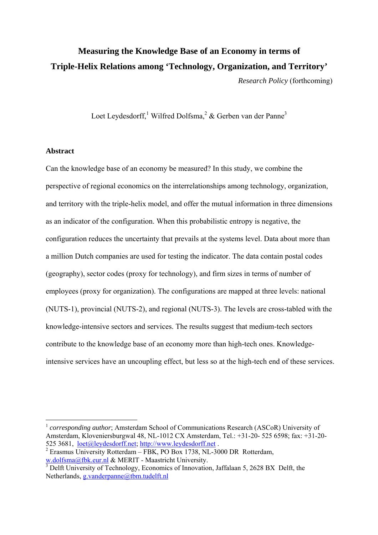# **Measuring the Knowledge Base of an Economy in terms of Triple-Helix Relations among 'Technology, Organization, and Territory'**  *Research Policy* (forthcoming)

Loet Leydesdorff, Wilfred Dolfsma,  $2 \&$  $2 \&$  Gerben van der Panne<sup>[3](#page-0-2)</sup>

### **Abstract**

 $\overline{a}$ 

Can the knowledge base of an economy be measured? In this study, we combine the perspective of regional economics on the interrelationships among technology, organization, and territory with the triple-helix model, and offer the mutual information in three dimensions as an indicator of the configuration. When this probabilistic entropy is negative, the configuration reduces the uncertainty that prevails at the systems level. Data about more than a million Dutch companies are used for testing the indicator. The data contain postal codes (geography), sector codes (proxy for technology), and firm sizes in terms of number of employees (proxy for organization). The configurations are mapped at three levels: national (NUTS-1), provincial (NUTS-2), and regional (NUTS-3). The levels are cross-tabled with the knowledge-intensive sectors and services. The results suggest that medium-tech sectors contribute to the knowledge base of an economy more than high-tech ones. Knowledgeintensive services have an uncoupling effect, but less so at the high-tech end of these services.

<span id="page-0-0"></span><sup>1</sup> *corresponding author*; Amsterdam School of Communications Research (ASCoR) University of Amsterdam, Kloveniersburgwal 48, NL-1012 CX Amsterdam, Tel.: +31-20- 525 6598; fax: +31-20 525 3681, <u>[loet@leydesdorff.net](mailto:loet@leydesdorff.net); [http://www.leydesdorff.net](http://www.leydesdorff.net/)</u> .<br><sup>2</sup> Erasmus University Rotterdam – FBK, PO Box 1738, NL-3000 DR Rotterdam,

<span id="page-0-1"></span>

<span id="page-0-2"></span>[w.dolfsma@fbk.eur.nl](mailto:w.dolfsma@fbk.eur.nl) & MERIT - Maastricht University.<br><sup>3</sup> Delft University of Technology, Economics of Innovation, Jaffalaan 5, 2628 BX Delft, the Netherlands, [g.vanderpanne@tbm.tudelft.nl](mailto:g.vanderpanne@tbm.tudelft.nl)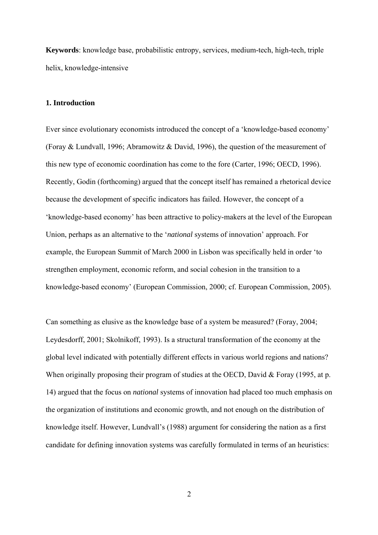**Keywords**: knowledge base, probabilistic entropy, services, medium-tech, high-tech, triple helix, knowledge-intensive

# **1. Introduction**

Ever since evolutionary economists introduced the concept of a 'knowledge-based economy' (Foray & Lundvall, 1996; Abramowitz & David, 1996), the question of the measurement of this new type of economic coordination has come to the fore (Carter, 1996; OECD, 1996). Recently, Godin (forthcoming) argued that the concept itself has remained a rhetorical device because the development of specific indicators has failed. However, the concept of a 'knowledge-based economy' has been attractive to policy-makers at the level of the European Union, perhaps as an alternative to the '*national* systems of innovation' approach. For example, the European Summit of March 2000 in Lisbon was specifically held in order 'to strengthen employment, economic reform, and social cohesion in the transition to a knowledge-based economy' (European Commission, 2000; cf. European Commission, 2005).

Can something as elusive as the knowledge base of a system be measured? (Foray, 2004; Leydesdorff, 2001; Skolnikoff, 1993). Is a structural transformation of the economy at the global level indicated with potentially different effects in various world regions and nations? When originally proposing their program of studies at the OECD, David & Foray (1995, at p. 14) argued that the focus on *national* systems of innovation had placed too much emphasis on the organization of institutions and economic growth, and not enough on the distribution of knowledge itself. However, Lundvall's (1988) argument for considering the nation as a first candidate for defining innovation systems was carefully formulated in terms of an heuristics: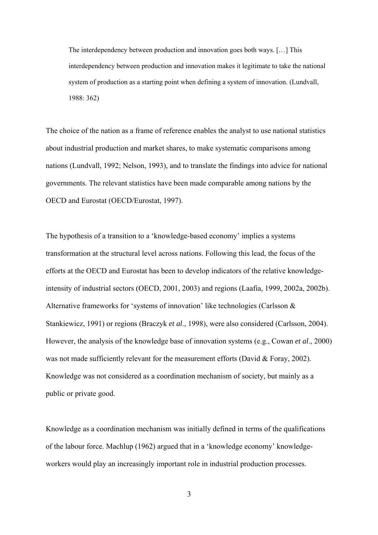The interdependency between production and innovation goes both ways. […] This interdependency between production and innovation makes it legitimate to take the national system of production as a starting point when defining a system of innovation. (Lundvall, 1988: 362)

The choice of the nation as a frame of reference enables the analyst to use national statistics about industrial production and market shares, to make systematic comparisons among nations (Lundvall, 1992; Nelson, 1993), and to translate the findings into advice for national governments. The relevant statistics have been made comparable among nations by the OECD and Eurostat (OECD/Eurostat, 1997).

The hypothesis of a transition to a 'knowledge-based economy' implies a systems transformation at the structural level across nations. Following this lead, the focus of the efforts at the OECD and Eurostat has been to develop indicators of the relative knowledgeintensity of industrial sectors (OECD, 2001, 2003) and regions (Laafia, 1999, 2002a, 2002b). Alternative frameworks for 'systems of innovation' like technologies (Carlsson & Stankiewicz, 1991) or regions (Braczyk *et al*., 1998), were also considered (Carlsson, 2004). However, the analysis of the knowledge base of innovation systems (e.g., Cowan *et al*., 2000) was not made sufficiently relevant for the measurement efforts (David & Foray, 2002). Knowledge was not considered as a coordination mechanism of society, but mainly as a public or private good.

Knowledge as a coordination mechanism was initially defined in terms of the qualifications of the labour force. Machlup (1962) argued that in a 'knowledge economy' knowledgeworkers would play an increasingly important role in industrial production processes.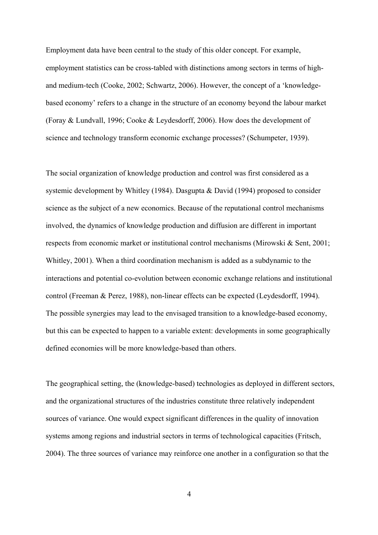Employment data have been central to the study of this older concept. For example, employment statistics can be cross-tabled with distinctions among sectors in terms of highand medium-tech (Cooke, 2002; Schwartz, 2006). However, the concept of a 'knowledgebased economy' refers to a change in the structure of an economy beyond the labour market (Foray & Lundvall, 1996; Cooke & Leydesdorff, 2006). How does the development of science and technology transform economic exchange processes? (Schumpeter, 1939).

The social organization of knowledge production and control was first considered as a systemic development by Whitley (1984). Dasgupta & David (1994) proposed to consider science as the subject of a new economics. Because of the reputational control mechanisms involved, the dynamics of knowledge production and diffusion are different in important respects from economic market or institutional control mechanisms (Mirowski & Sent, 2001; Whitley, 2001). When a third coordination mechanism is added as a subdynamic to the interactions and potential co-evolution between economic exchange relations and institutional control (Freeman & Perez, 1988), non-linear effects can be expected (Leydesdorff, 1994). The possible synergies may lead to the envisaged transition to a knowledge-based economy, but this can be expected to happen to a variable extent: developments in some geographically defined economies will be more knowledge-based than others.

The geographical setting, the (knowledge-based) technologies as deployed in different sectors, and the organizational structures of the industries constitute three relatively independent sources of variance. One would expect significant differences in the quality of innovation systems among regions and industrial sectors in terms of technological capacities (Fritsch, 2004). The three sources of variance may reinforce one another in a configuration so that the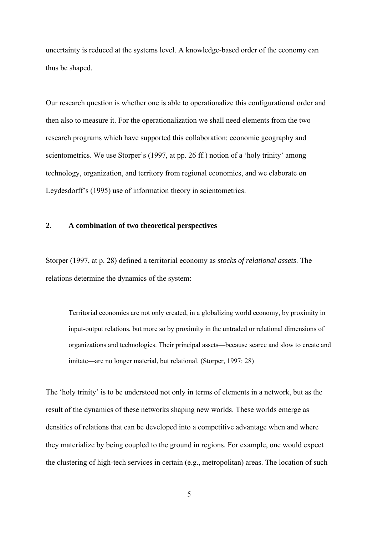uncertainty is reduced at the systems level. A knowledge-based order of the economy can thus be shaped.

Our research question is whether one is able to operationalize this configurational order and then also to measure it. For the operationalization we shall need elements from the two research programs which have supported this collaboration: economic geography and scientometrics. We use Storper's (1997, at pp. 26 ff.) notion of a 'holy trinity' among technology, organization, and territory from regional economics, and we elaborate on Leydesdorff's (1995) use of information theory in scientometrics.

# **2. A combination of two theoretical perspectives**

Storper (1997, at p. 28) defined a territorial economy as *stocks of relational assets*. The relations determine the dynamics of the system:

Territorial economies are not only created, in a globalizing world economy, by proximity in input-output relations, but more so by proximity in the untraded or relational dimensions of organizations and technologies. Their principal assets—because scarce and slow to create and imitate—are no longer material, but relational. (Storper, 1997: 28)

The 'holy trinity' is to be understood not only in terms of elements in a network, but as the result of the dynamics of these networks shaping new worlds. These worlds emerge as densities of relations that can be developed into a competitive advantage when and where they materialize by being coupled to the ground in regions. For example, one would expect the clustering of high-tech services in certain (e.g., metropolitan) areas. The location of such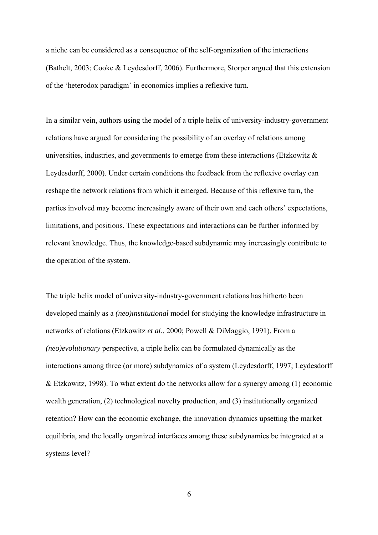a niche can be considered as a consequence of the self-organization of the interactions (Bathelt, 2003; Cooke & Leydesdorff, 2006). Furthermore, Storper argued that this extension of the 'heterodox paradigm' in economics implies a reflexive turn.

In a similar vein, authors using the model of a triple helix of university-industry-government relations have argued for considering the possibility of an overlay of relations among universities, industries, and governments to emerge from these interactions (Etzkowitz  $\&$ Leydesdorff, 2000). Under certain conditions the feedback from the reflexive overlay can reshape the network relations from which it emerged. Because of this reflexive turn, the parties involved may become increasingly aware of their own and each others' expectations, limitations, and positions. These expectations and interactions can be further informed by relevant knowledge. Thus, the knowledge-based subdynamic may increasingly contribute to the operation of the system.

The triple helix model of university-industry-government relations has hitherto been developed mainly as a *(neo)institutional* model for studying the knowledge infrastructure in networks of relations (Etzkowitz *et al*., 2000; Powell & DiMaggio, 1991). From a *(neo)evolutionary* perspective, a triple helix can be formulated dynamically as the interactions among three (or more) subdynamics of a system (Leydesdorff, 1997; Leydesdorff & Etzkowitz, 1998). To what extent do the networks allow for a synergy among (1) economic wealth generation, (2) technological novelty production, and (3) institutionally organized retention? How can the economic exchange, the innovation dynamics upsetting the market equilibria, and the locally organized interfaces among these subdynamics be integrated at a systems level?

6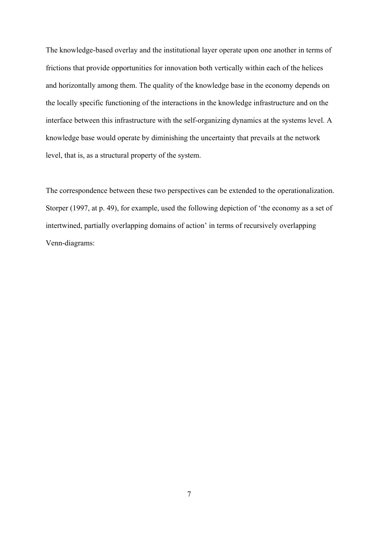The knowledge-based overlay and the institutional layer operate upon one another in terms of frictions that provide opportunities for innovation both vertically within each of the helices and horizontally among them. The quality of the knowledge base in the economy depends on the locally specific functioning of the interactions in the knowledge infrastructure and on the interface between this infrastructure with the self-organizing dynamics at the systems level. A knowledge base would operate by diminishing the uncertainty that prevails at the network level, that is, as a structural property of the system.

The correspondence between these two perspectives can be extended to the operationalization. Storper (1997, at p. 49), for example, used the following depiction of 'the economy as a set of intertwined, partially overlapping domains of action' in terms of recursively overlapping Venn-diagrams: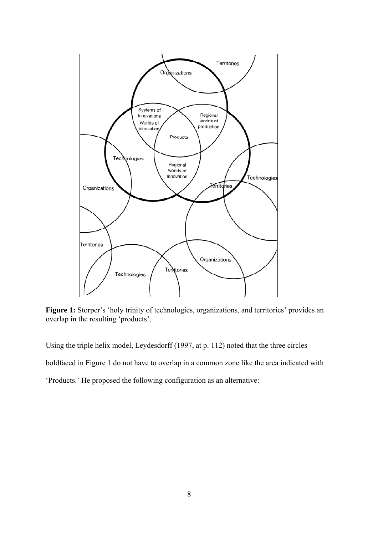

Figure 1: Storper's 'holy trinity of technologies, organizations, and territories' provides an overlap in the resulting 'products'.

Using the triple helix model, Leydesdorff (1997, at p. 112) noted that the three circles

boldfaced in Figure 1 do not have to overlap in a common zone like the area indicated with

'Products.' He proposed the following configuration as an alternative: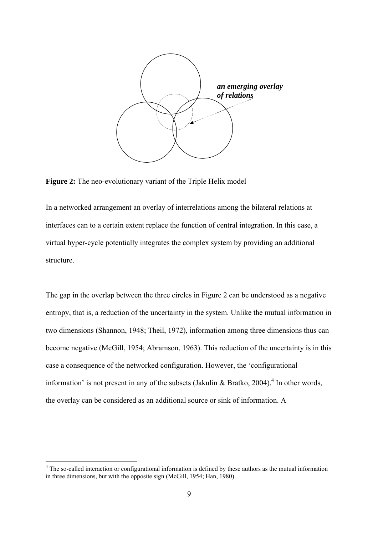

**Figure 2:** The neo-evolutionary variant of the Triple Helix model

In a networked arrangement an overlay of interrelations among the bilateral relations at interfaces can to a certain extent replace the function of central integration. In this case, a virtual hyper-cycle potentially integrates the complex system by providing an additional structure.

The gap in the overlap between the three circles in Figure 2 can be understood as a negative entropy, that is, a reduction of the uncertainty in the system. Unlike the mutual information in two dimensions (Shannon, 1948; Theil, 1972), information among three dimensions thus can become negative (McGill, 1954; Abramson, 1963). This reduction of the uncertainty is in this case a consequence of the networked configuration. However, the 'configurational information' is not present in any of the subsets (Jakulin & Bratko, 2004).<sup>4</sup> In other words, the overlay can be considered as an additional source or sink of information. A

 $\overline{a}$ 

<span id="page-8-0"></span><sup>&</sup>lt;sup>4</sup> The so-called interaction or configurational information is defined by these authors as the mutual information in three dimensions, but with the opposite sign (McGill, 1954; Han, 1980).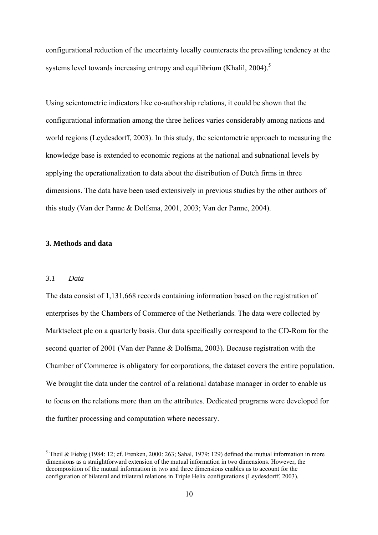configurational reduction of the uncertainty locally counteracts the prevailing tendency at the systems level towards increasing entropy and equilibrium (Khalil, 2004).<sup>[5](#page-9-0)</sup>

Using scientometric indicators like co-authorship relations, it could be shown that the configurational information among the three helices varies considerably among nations and world regions (Leydesdorff, 2003). In this study, the scientometric approach to measuring the knowledge base is extended to economic regions at the national and subnational levels by applying the operationalization to data about the distribution of Dutch firms in three dimensions. The data have been used extensively in previous studies by the other authors of this study (Van der Panne & Dolfsma, 2001, 2003; Van der Panne, 2004).

# **3. Methods and data**

## *3.1 Data*

 $\overline{a}$ 

The data consist of 1,131,668 records containing information based on the registration of enterprises by the Chambers of Commerce of the Netherlands. The data were collected by Marktselect plc on a quarterly basis. Our data specifically correspond to the CD-Rom for the second quarter of 2001 (Van der Panne & Dolfsma, 2003). Because registration with the Chamber of Commerce is obligatory for corporations, the dataset covers the entire population. We brought the data under the control of a relational database manager in order to enable us to focus on the relations more than on the attributes. Dedicated programs were developed for the further processing and computation where necessary.

<span id="page-9-0"></span><sup>&</sup>lt;sup>5</sup> Theil & Fiebig (1984: 12; cf. Frenken, 2000: 263; Sahal, 1979: 129) defined the mutual information in more dimensions as a straightforward extension of the mutual information in two dimensions. However, the decomposition of the mutual information in two and three dimensions enables us to account for the configuration of bilateral and trilateral relations in Triple Helix configurations (Leydesdorff, 2003).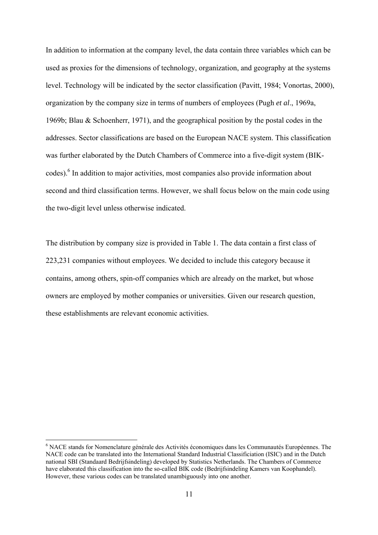In addition to information at the company level, the data contain three variables which can be used as proxies for the dimensions of technology, organization, and geography at the systems level. Technology will be indicated by the sector classification (Pavitt, 1984; Vonortas, 2000), organization by the company size in terms of numbers of employees (Pugh *et al*., 1969a, 1969b; Blau & Schoenherr, 1971), and the geographical position by the postal codes in the addresses. Sector classifications are based on the European NACE system. This classification was further elaborated by the Dutch Chambers of Commerce into a five-digit system (BIK-codes).<sup>[6](#page-10-0)</sup> In addition to major activities, most companies also provide information about second and third classification terms. However, we shall focus below on the main code using the two-digit level unless otherwise indicated.

The distribution by company size is provided in Table 1. The data contain a first class of 223,231 companies without employees. We decided to include this category because it contains, among others, spin-off companies which are already on the market, but whose owners are employed by mother companies or universities. Given our research question, these establishments are relevant economic activities.

 $\overline{a}$ 

<span id="page-10-0"></span><sup>&</sup>lt;sup>6</sup> NACE stands for Nomenclature générale des Activités économiques dans les Communautés Européennes. The NACE code can be translated into the International Standard Industrial Classificiation (ISIC) and in the Dutch national SBI (Standaard Bedrijfsindeling) developed by Statistics Netherlands. The Chambers of Commerce have elaborated this classification into the so-called BIK code (Bedrijfsindeling Kamers van Koophandel). However, these various codes can be translated unambiguously into one another.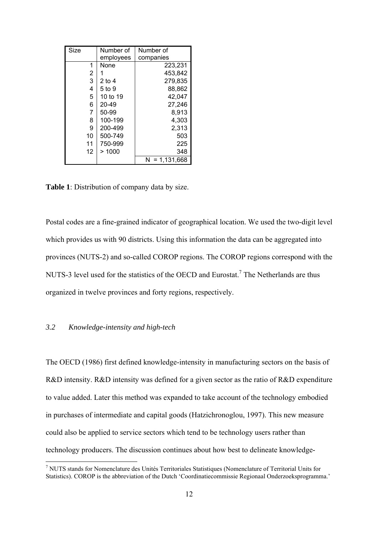| Size         | Number of | Number of      |
|--------------|-----------|----------------|
|              | employees | companies      |
| 1            | None      | 223,231        |
| 2            |           | 453.842        |
| $\mathbf{3}$ | 2 to 4    | 279,835        |
| 4            | 5 to 9    | 88.862         |
| 5            | 10 to 19  | 42,047         |
| 6            | 20-49     | 27.246         |
| 7            | 50-99     | 8,913          |
| 8            | 100-199   | 4,303          |
| 9            | 200-499   | 2,313          |
| 10           | 500-749   | 503            |
| 11           | 750-999   | 225            |
| 12           | >1000     | 348            |
|              |           | 1,131,668<br>N |

**Table 1**: Distribution of company data by size.

Postal codes are a fine-grained indicator of geographical location. We used the two-digit level which provides us with 90 districts. Using this information the data can be aggregated into provinces (NUTS-2) and so-called COROP regions. The COROP regions correspond with the NUTS-3 level used for the statistics of the OECD and Eurostat.<sup>7</sup> The Netherlands are thus organized in twelve provinces and forty regions, respectively.

# *3.2 Knowledge-intensity and high-tech*

 $\overline{a}$ 

The OECD (1986) first defined knowledge-intensity in manufacturing sectors on the basis of R&D intensity. R&D intensity was defined for a given sector as the ratio of R&D expenditure to value added. Later this method was expanded to take account of the technology embodied in purchases of intermediate and capital goods (Hatzichronoglou, 1997). This new measure could also be applied to service sectors which tend to be technology users rather than technology producers. The discussion continues about how best to delineate knowledge-

<span id="page-11-0"></span><sup>7</sup> NUTS stands for Nomenclature des Unités Territoriales Statistiques (Nomenclature of Territorial Units for Statistics). COROP is the abbreviation of the Dutch 'Coordinatiecommissie Regionaal Onderzoeksprogramma.'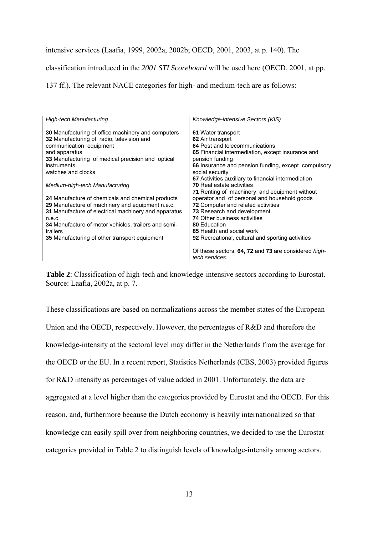## intensive services (Laafia, 1999, 2002a, 2002b; OECD, 2001, 2003, at p. 140). The

classification introduced in the *2001 STI Scoreboard* will be used here (OECD, 2001, at pp.

137 ff.). The relevant NACE categories for high- and medium-tech are as follows:

| <b>High-tech Manufacturing</b>                                                                                                                                                                                                                                                               | Knowledge-intensive Sectors (KIS)                                                                                                                                                                                                                                        |
|----------------------------------------------------------------------------------------------------------------------------------------------------------------------------------------------------------------------------------------------------------------------------------------------|--------------------------------------------------------------------------------------------------------------------------------------------------------------------------------------------------------------------------------------------------------------------------|
| 30 Manufacturing of office machinery and computers<br>32 Manufacturing of radio, television and<br>communication equipment<br>and apparatus<br>33 Manufacturing of medical precision and optical<br>instruments.<br>watches and clocks                                                       | 61 Water transport<br>62 Air transport<br>64 Post and telecommunications<br>65 Financial intermediation, except insurance and<br>pension funding<br>66 Insurance and pension funding, except compulsory<br>social security                                               |
| Medium-high-tech Manufacturing                                                                                                                                                                                                                                                               | 67 Activities auxiliary to financial intermediation<br><b>70 Real estate activities</b><br>71 Renting of machinery and equipment without                                                                                                                                 |
| 24 Manufacture of chemicals and chemical products<br>29 Manufacture of machinery and equipment n.e.c.<br>31 Manufacture of electrical machinery and apparatus<br>n.e.c.<br>34 Manufacture of motor vehicles, trailers and semi-<br>trailers<br>35 Manufacturing of other transport equipment | operator and of personal and household goods<br><b>72</b> Computer and related activities<br>73 Research and development<br><b>74 Other business activities</b><br>80 Education<br>85 Health and social work<br><b>92</b> Recreational, cultural and sporting activities |
|                                                                                                                                                                                                                                                                                              | Of these sectors, 64, 72 and 73 are considered <i>high-</i><br>tech services.                                                                                                                                                                                            |

**Table 2**: Classification of high-tech and knowledge-intensive sectors according to Eurostat. Source: Laafia, 2002a, at p. 7.

These classifications are based on normalizations across the member states of the European Union and the OECD, respectively. However, the percentages of R&D and therefore the knowledge-intensity at the sectoral level may differ in the Netherlands from the average for the OECD or the EU. In a recent report, Statistics Netherlands (CBS, 2003) provided figures for R&D intensity as percentages of value added in 2001. Unfortunately, the data are aggregated at a level higher than the categories provided by Eurostat and the OECD. For this reason, and, furthermore because the Dutch economy is heavily internationalized so that knowledge can easily spill over from neighboring countries, we decided to use the Eurostat categories provided in Table 2 to distinguish levels of knowledge-intensity among sectors.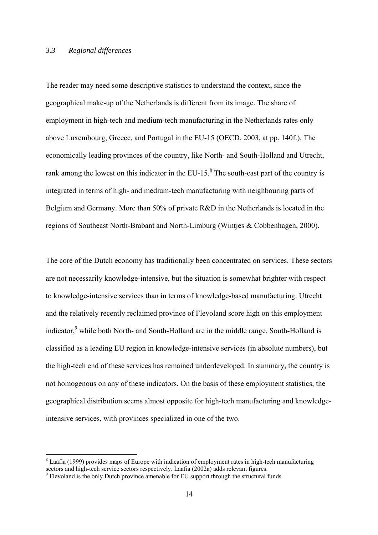#### *3.3 Regional differences*

The reader may need some descriptive statistics to understand the context, since the geographical make-up of the Netherlands is different from its image. The share of employment in high-tech and medium-tech manufacturing in the Netherlands rates only above Luxembourg, Greece, and Portugal in the EU-15 (OECD, 2003, at pp. 140f.). The economically leading provinces of the country, like North- and South-Holland and Utrecht, rank among the lowest on this indicator in the EU-15. $^8$  $^8$  The south-east part of the country is integrated in terms of high- and medium-tech manufacturing with neighbouring parts of Belgium and Germany. More than 50% of private R&D in the Netherlands is located in the regions of Southeast North-Brabant and North-Limburg (Wintjes & Cobbenhagen, 2000).

The core of the Dutch economy has traditionally been concentrated on services. These sectors are not necessarily knowledge-intensive, but the situation is somewhat brighter with respect to knowledge-intensive services than in terms of knowledge-based manufacturing. Utrecht and the relatively recently reclaimed province of Flevoland score high on this employment indicator,<sup>[9](#page-13-1)</sup> while both North- and South-Holland are in the middle range. South-Holland is classified as a leading EU region in knowledge-intensive services (in absolute numbers), but the high-tech end of these services has remained underdeveloped. In summary, the country is not homogenous on any of these indicators. On the basis of these employment statistics, the geographical distribution seems almost opposite for high-tech manufacturing and knowledgeintensive services, with provinces specialized in one of the two.

 $\overline{a}$ 

<span id="page-13-0"></span><sup>&</sup>lt;sup>8</sup> Laafia (1999) provides maps of Europe with indication of employment rates in high-tech manufacturing sectors and high-tech service sectors respectively. Laafia (2002a) adds relevant figures.

<span id="page-13-1"></span><sup>&</sup>lt;sup>9</sup> Flevoland is the only Dutch province amenable for EU support through the structural funds.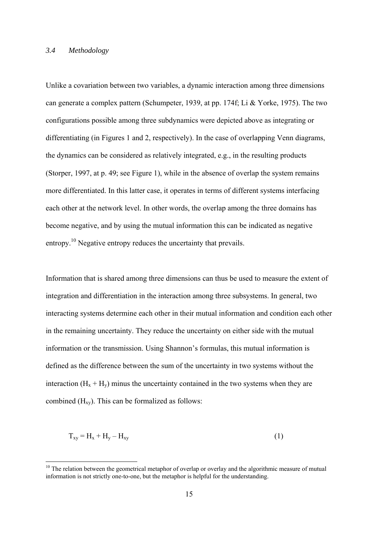#### *3.4 Methodology*

 $\overline{a}$ 

Unlike a covariation between two variables, a dynamic interaction among three dimensions can generate a complex pattern (Schumpeter, 1939, at pp. 174f; Li & Yorke, 1975). The two configurations possible among three subdynamics were depicted above as integrating or differentiating (in Figures 1 and 2, respectively). In the case of overlapping Venn diagrams, the dynamics can be considered as relatively integrated, e.g., in the resulting products (Storper, 1997, at p. 49; see Figure 1), while in the absence of overlap the system remains more differentiated. In this latter case, it operates in terms of different systems interfacing each other at the network level. In other words, the overlap among the three domains has become negative, and by using the mutual information this can be indicated as negative entropy[.10](#page-14-0) Negative entropy reduces the uncertainty that prevails.

Information that is shared among three dimensions can thus be used to measure the extent of integration and differentiation in the interaction among three subsystems. In general, two interacting systems determine each other in their mutual information and condition each other in the remaining uncertainty. They reduce the uncertainty on either side with the mutual information or the transmission. Using Shannon's formulas, this mutual information is defined as the difference between the sum of the uncertainty in two systems without the interaction  $(H_x + H_y)$  minus the uncertainty contained in the two systems when they are combined  $(H_{xy})$ . This can be formalized as follows:

$$
T_{xy} = H_x + H_y - H_{xy}
$$
\n<sup>(1)</sup>

<span id="page-14-0"></span> $10$  The relation between the geometrical metaphor of overlap or overlay and the algorithmic measure of mutual information is not strictly one-to-one, but the metaphor is helpful for the understanding.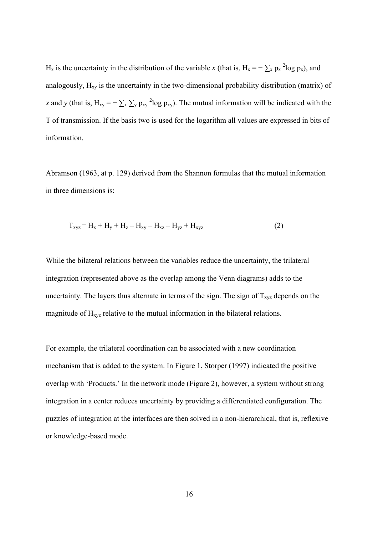H<sub>x</sub> is the uncertainty in the distribution of the variable *x* (that is, H<sub>x</sub> =  $-\sum_{x} p_x^2 \log p_x$ ), and analogously,  $H_{xy}$  is the uncertainty in the two-dimensional probability distribution (matrix) of *x* and *y* (that is,  $H_{xy} = -\sum_{x} \sum_{y} p_{xy}^{2} \log p_{xy}$ ). The mutual information will be indicated with the T of transmission. If the basis two is used for the logarithm all values are expressed in bits of information.

Abramson (1963, at p. 129) derived from the Shannon formulas that the mutual information in three dimensions is:

$$
T_{xyz} = H_x + H_y + H_z - H_{xy} - H_{xz} - H_{yz} + H_{xyz}
$$
 (2)

While the bilateral relations between the variables reduce the uncertainty, the trilateral integration (represented above as the overlap among the Venn diagrams) adds to the uncertainty. The layers thus alternate in terms of the sign. The sign of  $T_{xyz}$  depends on the magnitude of  $H_{xyz}$  relative to the mutual information in the bilateral relations.

For example, the trilateral coordination can be associated with a new coordination mechanism that is added to the system. In Figure 1, Storper (1997) indicated the positive overlap with 'Products.' In the network mode (Figure 2), however, a system without strong integration in a center reduces uncertainty by providing a differentiated configuration. The puzzles of integration at the interfaces are then solved in a non-hierarchical, that is, reflexive or knowledge-based mode.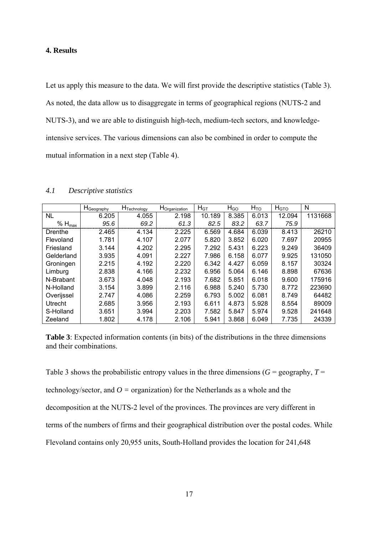## **4. Results**

Let us apply this measure to the data. We will first provide the descriptive statistics (Table 3). As noted, the data allow us to disaggregate in terms of geographical regions (NUTS-2 and NUTS-3), and we are able to distinguish high-tech, medium-tech sectors, and knowledgeintensive services. The various dimensions can also be combined in order to compute the mutual information in a next step (Table 4).

|                | ${\sf H}_{\sf Geography}$ | H <sub>Technology</sub> | H <sub>Organization</sub> | H <sub>GT</sub> | $H_{GO}$ | $H_{TO}$ | H <sub>GTO</sub> | N       |
|----------------|---------------------------|-------------------------|---------------------------|-----------------|----------|----------|------------------|---------|
| <b>NL</b>      | 6.205                     | 4.055                   | 2.198                     | 10.189          | 8.385    | 6.013    | 12.094           | 1131668 |
| $% H_{max}$    | 95.6                      | 69.2                    | 61.3                      | 82.5            | 83.2     | 63.7     | 75.9             |         |
| Drenthe        | 2.465                     | 4.134                   | 2.225                     | 6.569           | 4.684    | 6.039    | 8.413            | 26210   |
| Flevoland      | 1.781                     | 4.107                   | 2.077                     | 5.820           | 3.852    | 6.020    | 7.697            | 20955   |
| Friesland      | 3.144                     | 4.202                   | 2.295                     | 7.292           | 5.431    | 6.223    | 9.249            | 36409   |
| Gelderland     | 3.935                     | 4.091                   | 2.227                     | 7.986           | 6.158    | 6.077    | 9.925            | 131050  |
| Groningen      | 2.215                     | 4.192                   | 2.220                     | 6.342           | 4.427    | 6.059    | 8.157            | 30324   |
| Limburg        | 2.838                     | 4.166                   | 2.232                     | 6.956           | 5.064    | 6.146    | 8.898            | 67636   |
| N-Brabant      | 3.673                     | 4.048                   | 2.193                     | 7.682           | 5.851    | 6.018    | 9.600            | 175916  |
| N-Holland      | 3.154                     | 3.899                   | 2.116                     | 6.988           | 5.240    | 5.730    | 8.772            | 223690  |
| Overijssel     | 2.747                     | 4.086                   | 2.259                     | 6.793           | 5.002    | 6.081    | 8.749            | 64482   |
| <b>Utrecht</b> | 2.685                     | 3.956                   | 2.193                     | 6.611           | 4.873    | 5.928    | 8.554            | 89009   |
| S-Holland      | 3.651                     | 3.994                   | 2.203                     | 7.582           | 5.847    | 5.974    | 9.528            | 241648  |
| Zeeland        | 1.802                     | 4.178                   | 2.106                     | 5.941           | 3.868    | 6.049    | 7.735            | 24339   |

*4.1 Descriptive statistics* 

**Table 3**: Expected information contents (in bits) of the distributions in the three dimensions and their combinations.

Table 3 shows the probabilistic entropy values in the three dimensions  $(G = \text{geography}, T =$ 

technology/sector, and *O =* organization) for the Netherlands as a whole and the

decomposition at the NUTS-2 level of the provinces. The provinces are very different in

terms of the numbers of firms and their geographical distribution over the postal codes. While

Flevoland contains only 20,955 units, South-Holland provides the location for 241,648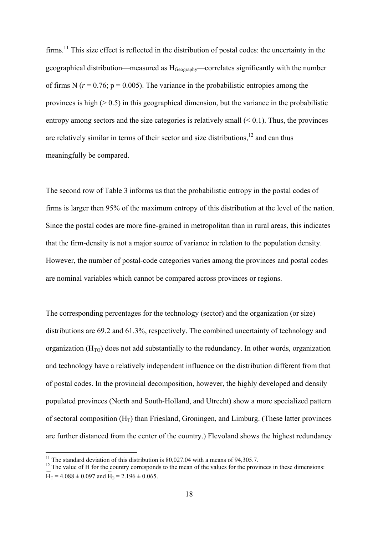firms.<sup>11</sup> This size effect is reflected in the distribution of postal codes: the uncertainty in the geographical distribution—measured as HGeography—correlates significantly with the number of firms N ( $r = 0.76$ ;  $p = 0.005$ ). The variance in the probabilistic entropies among the provinces is high  $(0.5)$  in this geographical dimension, but the variance in the probabilistic entropy among sectors and the size categories is relatively small  $( $0.1$ ). Thus, the provinces$ are relatively similar in terms of their sector and size distributions, $12$  and can thus meaningfully be compared.

The second row of Table 3 informs us that the probabilistic entropy in the postal codes of firms is larger then 95% of the maximum entropy of this distribution at the level of the nation. Since the postal codes are more fine-grained in metropolitan than in rural areas, this indicates that the firm-density is not a major source of variance in relation to the population density. However, the number of postal-code categories varies among the provinces and postal codes are nominal variables which cannot be compared across provinces or regions.

The corresponding percentages for the technology (sector) and the organization (or size) distributions are 69.2 and 61.3%, respectively. The combined uncertainty of technology and organization  $(H<sub>TO</sub>)$  does not add substantially to the redundancy. In other words, organization and technology have a relatively independent influence on the distribution different from that of postal codes. In the provincial decomposition, however, the highly developed and densily populated provinces (North and South-Holland, and Utrecht) show a more specialized pattern of sectoral composition  $(H_T)$  than Friesland, Groningen, and Limburg. (These latter provinces are further distanced from the center of the country.) Flevoland shows the highest redundancy

<span id="page-17-0"></span><sup>&</sup>lt;sup>11</sup> The standard deviation of this distribution is 80,027.04 with a means of 94,305.7.

<span id="page-17-1"></span> $12$  The value of H for the country corresponds to the mean of the values for the provinces in these dimensions:  $\overline{H}_T = 4.088 \pm 0.097$  and  $\overline{H}_0 = 2.196 \pm 0.065$ .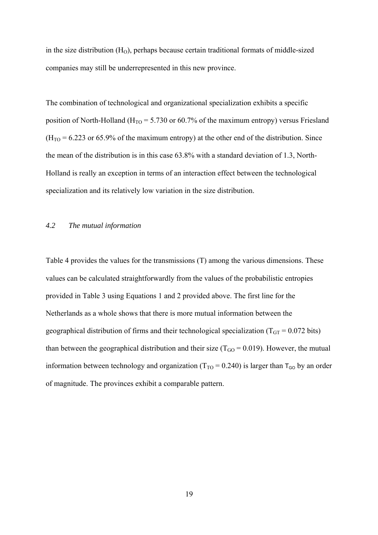in the size distribution  $(H<sub>0</sub>)$ , perhaps because certain traditional formats of middle-sized companies may still be underrepresented in this new province.

The combination of technological and organizational specialization exhibits a specific position of North-Holland ( $H_{TO} = 5.730$  or 60.7% of the maximum entropy) versus Friesland  $(H<sub>TO</sub> = 6.223$  or 65.9% of the maximum entropy) at the other end of the distribution. Since the mean of the distribution is in this case 63.8% with a standard deviation of 1.3, North-Holland is really an exception in terms of an interaction effect between the technological specialization and its relatively low variation in the size distribution.

## *4.2 The mutual information*

Table 4 provides the values for the transmissions (T) among the various dimensions. These values can be calculated straightforwardly from the values of the probabilistic entropies provided in Table 3 using Equations 1 and 2 provided above. The first line for the Netherlands as a whole shows that there is more mutual information between the geographical distribution of firms and their technological specialization ( $T_{GT} = 0.072$  bits) than between the geographical distribution and their size ( $T_{GO} = 0.019$ ). However, the mutual information between technology and organization ( $T_{TO} = 0.240$ ) is larger than  $T_{GO}$  by an order of magnitude. The provinces exhibit a comparable pattern.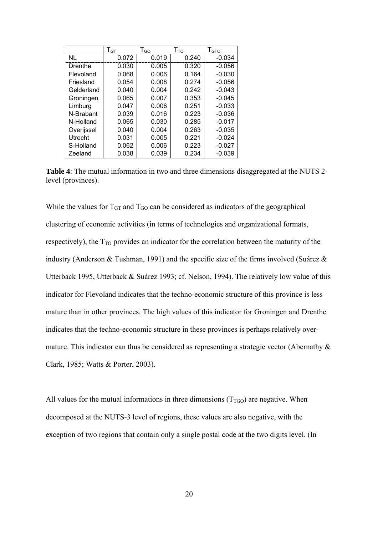|            | $T_{GT}$ | $T_{GO}$ | $1_{TO}$ | T <sub>GTO</sub> |
|------------|----------|----------|----------|------------------|
| NL         | 0.072    | 0.019    | 0.240    | $-0.034$         |
| Drenthe    | 0.030    | 0.005    | 0.320    | $-0.056$         |
| Flevoland  | 0.068    | 0.006    | 0.164    | $-0.030$         |
| Friesland  | 0.054    | 0.008    | 0.274    | $-0.056$         |
| Gelderland | 0.040    | 0.004    | 0.242    | $-0.043$         |
| Groningen  | 0.065    | 0.007    | 0.353    | $-0.045$         |
| Limburg    | 0.047    | 0.006    | 0.251    | $-0.033$         |
| N-Brabant  | 0.039    | 0.016    | 0.223    | $-0.036$         |
| N-Holland  | 0.065    | 0.030    | 0.285    | $-0.017$         |
| Overijssel | 0.040    | 0.004    | 0.263    | $-0.035$         |
| Utrecht    | 0.031    | 0.005    | 0.221    | $-0.024$         |
| S-Holland  | 0.062    | 0.006    | 0.223    | $-0.027$         |
| Zeeland    | 0.038    | 0.039    | 0.234    | $-0.039$         |

**Table 4**: The mutual information in two and three dimensions disaggregated at the NUTS 2 level (provinces).

While the values for  $T_{GT}$  and  $T_{GO}$  can be considered as indicators of the geographical clustering of economic activities (in terms of technologies and organizational formats, respectively), the  $T_{TO}$  provides an indicator for the correlation between the maturity of the industry (Anderson & Tushman, 1991) and the specific size of the firms involved (Suárez & Utterback 1995, Utterback & Suárez 1993; cf. Nelson, 1994). The relatively low value of this indicator for Flevoland indicates that the techno-economic structure of this province is less mature than in other provinces. The high values of this indicator for Groningen and Drenthe indicates that the techno-economic structure in these provinces is perhaps relatively overmature. This indicator can thus be considered as representing a strategic vector (Abernathy  $\&$ Clark, 1985; Watts & Porter, 2003).

All values for the mutual informations in three dimensions  $(T_{TGO})$  are negative. When decomposed at the NUTS-3 level of regions, these values are also negative, with the exception of two regions that contain only a single postal code at the two digits level. (In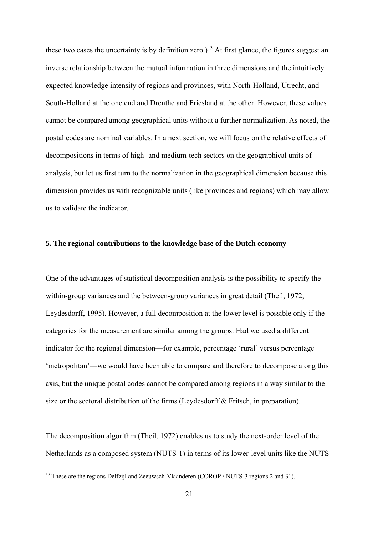these two cases the uncertainty is by definition zero.)<sup>13</sup> At first glance, the figures suggest an inverse relationship between the mutual information in three dimensions and the intuitively expected knowledge intensity of regions and provinces, with North-Holland, Utrecht, and South-Holland at the one end and Drenthe and Friesland at the other. However, these values cannot be compared among geographical units without a further normalization. As noted, the postal codes are nominal variables. In a next section, we will focus on the relative effects of decompositions in terms of high- and medium-tech sectors on the geographical units of analysis, but let us first turn to the normalization in the geographical dimension because this dimension provides us with recognizable units (like provinces and regions) which may allow us to validate the indicator.

#### **5. The regional contributions to the knowledge base of the Dutch economy**

One of the advantages of statistical decomposition analysis is the possibility to specify the within-group variances and the between-group variances in great detail (Theil, 1972; Leydesdorff, 1995). However, a full decomposition at the lower level is possible only if the categories for the measurement are similar among the groups. Had we used a different indicator for the regional dimension—for example, percentage 'rural' versus percentage 'metropolitan'—we would have been able to compare and therefore to decompose along this axis, but the unique postal codes cannot be compared among regions in a way similar to the size or the sectoral distribution of the firms (Leydesdorff & Fritsch, in preparation).

The decomposition algorithm (Theil, 1972) enables us to study the next-order level of the Netherlands as a composed system (NUTS-1) in terms of its lower-level units like the NUTS-

 $\overline{a}$ 

<span id="page-20-0"></span><sup>&</sup>lt;sup>13</sup> These are the regions Delfzijl and Zeeuwsch-Vlaanderen (COROP / NUTS-3 regions 2 and 31).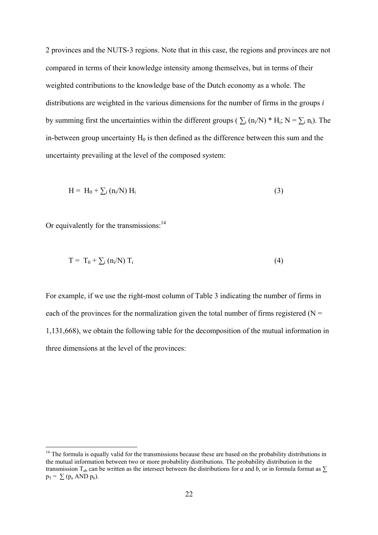2 provinces and the NUTS-3 regions. Note that in this case, the regions and provinces are not compared in terms of their knowledge intensity among themselves, but in terms of their weighted contributions to the knowledge base of the Dutch economy as a whole. The distributions are weighted in the various dimensions for the number of firms in the groups *i* by summing first the uncertainties within the different groups ( $\sum_i (n_i/N)^* H_i$ ; N =  $\sum_i n_i$ ). The in-between group uncertainty  $H_0$  is then defined as the difference between this sum and the uncertainty prevailing at the level of the composed system:

$$
H = H_0 + \sum_i (n_i/N) H_i
$$
 (3)

Or equivalently for the transmissions: $^{14}$ 

 $\overline{a}$ 

$$
T = T_0 + \sum_i (n_i/N) T_i
$$
 (4)

For example, if we use the right-most column of Table 3 indicating the number of firms in each of the provinces for the normalization given the total number of firms registered ( $N =$ 1,131,668), we obtain the following table for the decomposition of the mutual information in three dimensions at the level of the provinces:

<span id="page-21-0"></span><sup>&</sup>lt;sup>14</sup> The formula is equally valid for the transmissions because these are based on the probability distributions in the mutual information between two or more probability distributions. The probability distribution in the transmission T<sub>ab</sub> can be written as the intersect between the distributions for *a* and *b*, or in formula format as  $\Sigma$  $p_T = \sum (p_a \text{ AND } p_b).$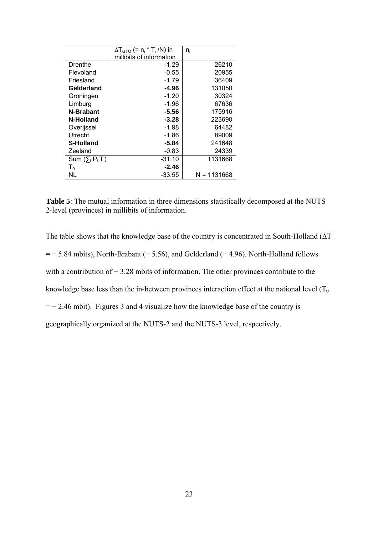|                        | $\Delta T_{GTO}$ (= $n_i * T_i/N$ ) in | $n_i$         |
|------------------------|----------------------------------------|---------------|
|                        | millibits of information               |               |
| Drenthe                | -1.29                                  | 26210         |
| Flevoland              | $-0.55$                                | 20955         |
| Friesland              | $-1.79$                                | 36409         |
| Gelderland             | -4.96                                  | 131050        |
| Groningen              | $-1.20$                                | 30324         |
| Limburg                | $-1.96$                                | 67636         |
| N-Brabant              | -5.56                                  | 175916        |
| N-Holland              | $-3.28$                                | 223690        |
| Overijssel             | $-1.98$                                | 64482         |
| Utrecht                | -1.86                                  | 89009         |
| <b>S-Holland</b>       | -5.84                                  | 241648        |
| Zeeland                | $-0.83$                                | 24339         |
| Sum $(\sum_i P_i T_i)$ | $-31.10$                               | 1131668       |
| $T_0$                  | -2.46                                  |               |
| NL                     | -33.55                                 | $N = 1131668$ |

**Table 5**: The mutual information in three dimensions statistically decomposed at the NUTS 2-level (provinces) in millibits of information.

The table shows that the knowledge base of the country is concentrated in South-Holland ( $\Delta T$  $=$  − 5.84 mbits), North-Brabant (− 5.56), and Gelderland (− 4.96). North-Holland follows with a contribution of − 3.28 mbits of information. The other provinces contribute to the knowledge base less than the in-between provinces interaction effect at the national level  $(T_0)$ = − 2.46 mbit). Figures 3 and 4 visualize how the knowledge base of the country is geographically organized at the NUTS-2 and the NUTS-3 level, respectively.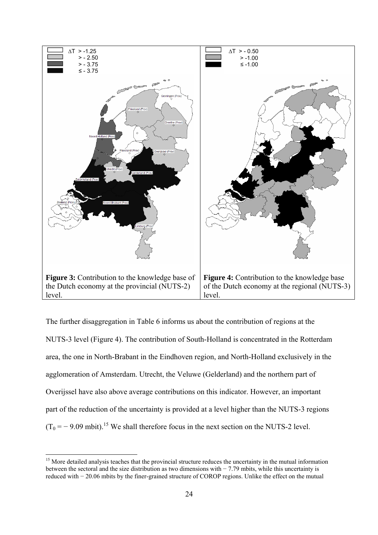

The further disaggregation in Table 6 informs us about the contribution of regions at the NUTS-3 level (Figure 4). The contribution of South-Holland is concentrated in the Rotterdam area, the one in North-Brabant in the Eindhoven region, and North-Holland exclusively in the agglomeration of Amsterdam. Utrecht, the Veluwe (Gelderland) and the northern part of Overijssel have also above average contributions on this indicator. However, an important part of the reduction of the uncertainty is provided at a level higher than the NUTS-3 regions  $(T_0 = -9.09 \text{ mbit})^{15}$  We shall therefore focus in the next section on the NUTS-2 level.

 $\overline{a}$ 

<span id="page-23-0"></span><sup>&</sup>lt;sup>15</sup> More detailed analysis teaches that the provincial structure reduces the uncertainty in the mutual information between the sectoral and the size distribution as two dimensions with − 7.79 mbits, while this uncertainty is reduced with − 20.06 mbits by the finer-grained structure of COROP regions. Unlike the effect on the mutual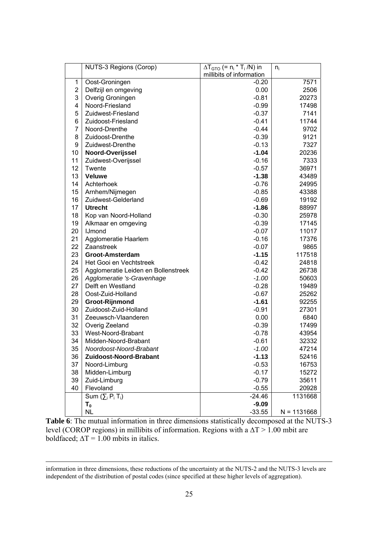|    | <b>NUTS-3 Regions (Corop)</b>       | $\Delta T_{GTO}$ (= n <sub>i</sub> * T <sub>i</sub> /N) in | $n_i$         |
|----|-------------------------------------|------------------------------------------------------------|---------------|
|    |                                     | millibits of information                                   |               |
| 1  | Oost-Groningen                      | $-0.20$                                                    | 7571          |
| 2  | Delfzijl en omgeving                | 0.00                                                       | 2506          |
| 3  | Overig Groningen                    | $-0.81$                                                    | 20273         |
| 4  | Noord-Friesland                     | $-0.99$                                                    | 17498         |
| 5  | Zuidwest-Friesland                  | $-0.37$                                                    | 7141          |
| 6  | Zuidoost-Friesland                  | $-0.41$                                                    | 11744         |
| 7  | Noord-Drenthe                       | $-0.44$                                                    | 9702          |
| 8  | Zuidoost-Drenthe                    | $-0.39$                                                    | 9121          |
| 9  | Zuidwest-Drenthe                    | $-0.13$                                                    | 7327          |
| 10 | Noord-Overijssel                    | $-1.04$                                                    | 20236         |
| 11 | Zuidwest-Overijssel                 | $-0.16$                                                    | 7333          |
| 12 | Twente                              | $-0.57$                                                    | 36971         |
| 13 | <b>Veluwe</b>                       | $-1.38$                                                    | 43489         |
| 14 | Achterhoek                          | $-0.76$                                                    | 24995         |
| 15 | Arnhem/Nijmegen                     | $-0.85$                                                    | 43388         |
| 16 | Zuidwest-Gelderland                 | $-0.69$                                                    | 19192         |
| 17 | <b>Utrecht</b>                      | $-1.86$                                                    | 88997         |
| 18 | Kop van Noord-Holland               | $-0.30$                                                    | 25978         |
| 19 | Alkmaar en omgeving                 | $-0.39$                                                    | 17145         |
| 20 | <b>IJmond</b>                       | $-0.07$                                                    | 11017         |
| 21 | Agglomeratie Haarlem                | $-0.16$                                                    | 17376         |
| 22 | Zaanstreek                          | $-0.07$                                                    | 9865          |
| 23 | Groot-Amsterdam                     | $-1.15$                                                    | 117518        |
| 24 | Het Gooi en Vechtstreek             | $-0.42$                                                    | 24818         |
| 25 | Agglomeratie Leiden en Bollenstreek | $-0.42$                                                    | 26738         |
| 26 | Agglomeratie 's-Gravenhage          | $-1.00$                                                    | 50603         |
| 27 | Delft en Westland                   | $-0.28$                                                    | 19489         |
| 28 | Oost-Zuid-Holland                   | $-0.67$                                                    | 25262         |
| 29 | Groot-Rijnmond                      | $-1.61$                                                    | 92255         |
| 30 | Zuidoost-Zuid-Holland               | $-0.91$                                                    | 27301         |
| 31 | Zeeuwsch-Vlaanderen                 | 0.00                                                       | 6840          |
| 32 | Overig Zeeland                      | $-0.39$                                                    | 17499         |
| 33 | West-Noord-Brabant                  | $-0.78$                                                    | 43954         |
| 34 | Midden-Noord-Brabant                | $-0.61$                                                    | 32332         |
| 35 | Noordoost-Noord-Brabant             | -1.00                                                      | 47214         |
| 36 | Zuidoost-Noord-Brabant              | $-1.13$                                                    | 52416         |
| 37 | Noord-Limburg                       | $-0.53$                                                    | 16753         |
| 38 | Midden-Limburg                      | $-0.17$                                                    | 15272         |
| 39 | Zuid-Limburg                        | $-0.79$                                                    | 35611         |
| 40 | Flevoland                           | $-0.55$                                                    | 20928         |
|    | Sum $(\sum_i P_i T_i)$              | $-24.46$                                                   | 1131668       |
|    | $T_{0}$                             | $-9.09$                                                    |               |
|    | NL                                  | $-33.55$                                                   | $N = 1131668$ |

Table 6: The mutual information in three dimensions statistically decomposed at the NUTS-3 level (COROP regions) in millibits of information. Regions with a  $\Delta T > 1.00$  mbit are boldfaced;  $\Delta T = 1.00$  mbits in italics.

information in three dimensions, these reductions of the uncertainty at the NUTS-2 and the NUTS-3 levels are independent of the distribution of postal codes (since specified at these higher levels of aggregation).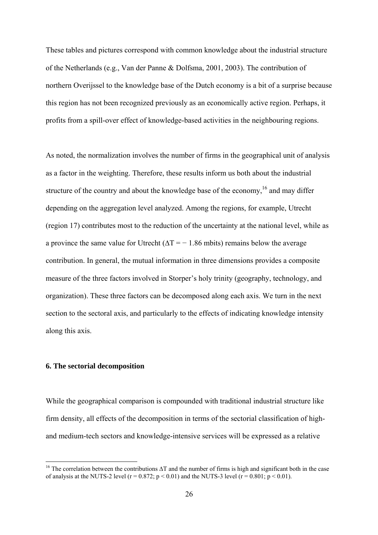These tables and pictures correspond with common knowledge about the industrial structure of the Netherlands (e.g., Van der Panne & Dolfsma, 2001, 2003). The contribution of northern Overijssel to the knowledge base of the Dutch economy is a bit of a surprise because this region has not been recognized previously as an economically active region. Perhaps, it profits from a spill-over effect of knowledge-based activities in the neighbouring regions.

As noted, the normalization involves the number of firms in the geographical unit of analysis as a factor in the weighting. Therefore, these results inform us both about the industrial structure of the country and about the knowledge base of the economy,<sup>16</sup> and may differ depending on the aggregation level analyzed. Among the regions, for example, Utrecht (region 17) contributes most to the reduction of the uncertainty at the national level, while as a province the same value for Utrecht ( $\Delta T = -1.86$  mbits) remains below the average contribution. In general, the mutual information in three dimensions provides a composite measure of the three factors involved in Storper's holy trinity (geography, technology, and organization). These three factors can be decomposed along each axis. We turn in the next section to the sectoral axis, and particularly to the effects of indicating knowledge intensity along this axis.

#### **6. The sectorial decomposition**

 $\overline{a}$ 

While the geographical comparison is compounded with traditional industrial structure like firm density, all effects of the decomposition in terms of the sectorial classification of highand medium-tech sectors and knowledge-intensive services will be expressed as a relative

<span id="page-25-0"></span><sup>&</sup>lt;sup>16</sup> The correlation between the contributions  $\Delta T$  and the number of firms is high and significant both in the case of analysis at the NUTS-2 level ( $r = 0.872$ ;  $p < 0.01$ ) and the NUTS-3 level ( $r = 0.801$ ;  $p < 0.01$ ).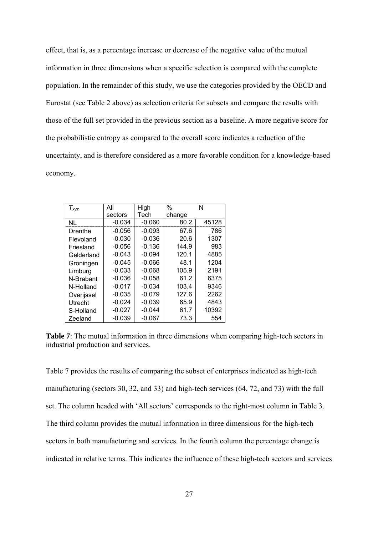effect, that is, as a percentage increase or decrease of the negative value of the mutual information in three dimensions when a specific selection is compared with the complete population. In the remainder of this study, we use the categories provided by the OECD and Eurostat (see Table 2 above) as selection criteria for subsets and compare the results with those of the full set provided in the previous section as a baseline. A more negative score for the probabilistic entropy as compared to the overall score indicates a reduction of the uncertainty, and is therefore considered as a more favorable condition for a knowledge-based economy.

| $T_{xyz}$  | All      | High     | %      | N     |
|------------|----------|----------|--------|-------|
|            | sectors  | Tech     | change |       |
| <b>NL</b>  | $-0.034$ | $-0.060$ | 80.2   | 45128 |
| Drenthe    | $-0.056$ | $-0.093$ | 67.6   | 786   |
| Flevoland  | $-0.030$ | $-0.036$ | 20.6   | 1307  |
| Friesland  | $-0.056$ | $-0.136$ | 144.9  | 983   |
| Gelderland | $-0.043$ | $-0.094$ | 120.1  | 4885  |
| Groningen  | $-0.045$ | $-0.066$ | 48.1   | 1204  |
| Limburg    | $-0.033$ | $-0.068$ | 105.9  | 2191  |
| N-Brabant  | -0.036   | $-0.058$ | 61.2   | 6375  |
| N-Holland  | $-0.017$ | $-0.034$ | 103.4  | 9346  |
| Overijssel | $-0.035$ | $-0.079$ | 127.6  | 2262  |
| Utrecht    | $-0.024$ | $-0.039$ | 65.9   | 4843  |
| S-Holland  | $-0.027$ | $-0.044$ | 61.7   | 10392 |
| Zeeland    | $-0.039$ | $-0.067$ | 73.3   | 554   |

**Table 7**: The mutual information in three dimensions when comparing high-tech sectors in industrial production and services.

Table 7 provides the results of comparing the subset of enterprises indicated as high-tech manufacturing (sectors 30, 32, and 33) and high-tech services (64, 72, and 73) with the full set. The column headed with 'All sectors' corresponds to the right-most column in Table 3. The third column provides the mutual information in three dimensions for the high-tech sectors in both manufacturing and services. In the fourth column the percentage change is indicated in relative terms. This indicates the influence of these high-tech sectors and services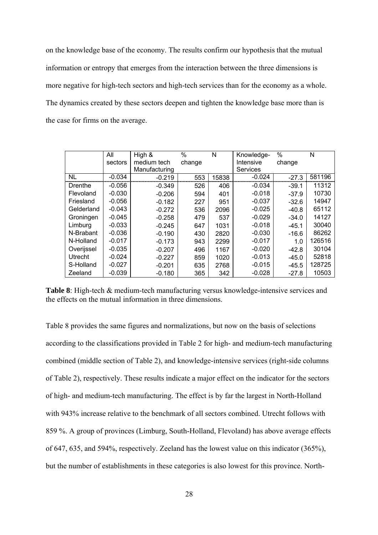on the knowledge base of the economy. The results confirm our hypothesis that the mutual information or entropy that emerges from the interaction between the three dimensions is more negative for high-tech sectors and high-tech services than for the economy as a whole. The dynamics created by these sectors deepen and tighten the knowledge base more than is the case for firms on the average.

|            | All      | High &        | $\%$   | N     | Knowledge-      | $\%$    | N      |
|------------|----------|---------------|--------|-------|-----------------|---------|--------|
|            | sectors  | medium tech   | change |       | Intensive       | change  |        |
|            |          | Manufacturing |        |       | <b>Services</b> |         |        |
| NL         | $-0.034$ | $-0.219$      | 553    | 15838 | $-0.024$        | $-27.3$ | 581196 |
| Drenthe    | $-0.056$ | $-0.349$      | 526    | 406   | $-0.034$        | $-39.1$ | 11312  |
| Flevoland  | $-0.030$ | $-0.206$      | 594    | 401   | $-0.018$        | $-37.9$ | 10730  |
| Friesland  | $-0.056$ | $-0.182$      | 227    | 951   | $-0.037$        | $-32.6$ | 14947  |
| Gelderland | $-0.043$ | $-0.272$      | 536    | 2096  | $-0.025$        | $-40.8$ | 65112  |
| Groningen  | $-0.045$ | $-0.258$      | 479    | 537   | $-0.029$        | $-34.0$ | 14127  |
| Limburg    | $-0.033$ | $-0.245$      | 647    | 1031  | $-0.018$        | $-45.1$ | 30040  |
| N-Brabant  | $-0.036$ | $-0.190$      | 430    | 2820  | $-0.030$        | $-16.6$ | 86262  |
| N-Holland  | $-0.017$ | $-0.173$      | 943    | 2299  | $-0.017$        | 1.0     | 126516 |
| Overijssel | $-0.035$ | $-0.207$      | 496    | 1167  | $-0.020$        | $-42.8$ | 30104  |
| Utrecht    | $-0.024$ | $-0.227$      | 859    | 1020  | $-0.013$        | $-45.0$ | 52818  |
| S-Holland  | $-0.027$ | $-0.201$      | 635    | 2768  | $-0.015$        | $-45.5$ | 128725 |
| Zeeland    | $-0.039$ | $-0.180$      | 365    | 342   | $-0.028$        | $-27.8$ | 10503  |

**Table 8**: High-tech & medium-tech manufacturing versus knowledge-intensive services and the effects on the mutual information in three dimensions.

Table 8 provides the same figures and normalizations, but now on the basis of selections according to the classifications provided in Table 2 for high- and medium-tech manufacturing combined (middle section of Table 2), and knowledge-intensive services (right-side columns of Table 2), respectively. These results indicate a major effect on the indicator for the sectors of high- and medium-tech manufacturing. The effect is by far the largest in North-Holland with 943% increase relative to the benchmark of all sectors combined. Utrecht follows with 859 %. A group of provinces (Limburg, South-Holland, Flevoland) has above average effects of 647, 635, and 594%, respectively. Zeeland has the lowest value on this indicator (365%), but the number of establishments in these categories is also lowest for this province. North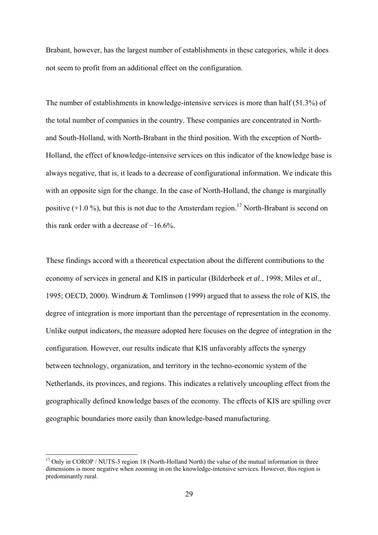Brabant, however, has the largest number of establishments in these categories, while it does not seem to profit from an additional effect on the configuration.

The number of establishments in knowledge-intensive services is more than half (51.3%) of the total number of companies in the country. These companies are concentrated in Northand South-Holland, with North-Brabant in the third position. With the exception of North-Holland, the effect of knowledge-intensive services on this indicator of the knowledge base is always negative, that is, it leads to a decrease of configurational information. We indicate this with an opposite sign for the change. In the case of North-Holland, the change is marginally positive  $(+1.0\%)$ , but this is not due to the Amsterdam region.<sup>17</sup> North-Brabant is second on this rank order with a decrease of −16.6%.

These findings accord with a theoretical expectation about the different contributions to the economy of services in general and KIS in particular (Bilderbeek *et al*., 1998; Miles *et al*., 1995; OECD, 2000). Windrum & Tomlinson (1999) argued that to assess the role of KIS, the degree of integration is more important than the percentage of representation in the economy. Unlike output indicators, the measure adopted here focuses on the degree of integration in the configuration. However, our results indicate that KIS unfavorably affects the synergy between technology, organization, and territory in the techno-economic system of the Netherlands, its provinces, and regions. This indicates a relatively uncoupling effect from the geographically defined knowledge bases of the economy. The effects of KIS are spilling over geographic boundaries more easily than knowledge-based manufacturing.

 $\overline{a}$ 

<span id="page-28-0"></span><sup>&</sup>lt;sup>17</sup> Only in COROP / NUTS-3 region 18 (North-Holland North) the value of the mutual information in three dimensions is more negative when zooming in on the knowledge-intensive services. However, this region is predominantly rural.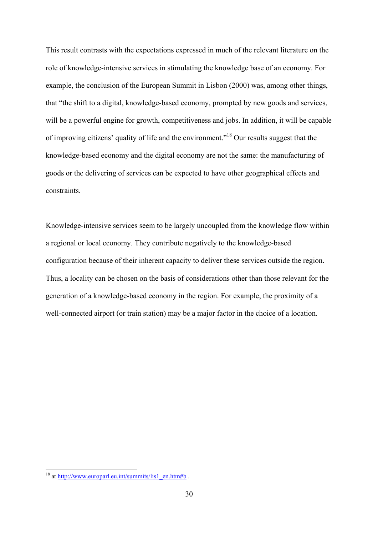This result contrasts with the expectations expressed in much of the relevant literature on the role of knowledge-intensive services in stimulating the knowledge base of an economy. For example, the conclusion of the European Summit in Lisbon (2000) was, among other things, that "the shift to a digital, knowledge-based economy, prompted by new goods and services, will be a powerful engine for growth, competitiveness and jobs. In addition, it will be capable of improving citizens' quality of life and the environment."[18](#page-29-0) Our results suggest that the knowledge-based economy and the digital economy are not the same: the manufacturing of goods or the delivering of services can be expected to have other geographical effects and constraints.

Knowledge-intensive services seem to be largely uncoupled from the knowledge flow within a regional or local economy. They contribute negatively to the knowledge-based configuration because of their inherent capacity to deliver these services outside the region. Thus, a locality can be chosen on the basis of considerations other than those relevant for the generation of a knowledge-based economy in the region. For example, the proximity of a well-connected airport (or train station) may be a major factor in the choice of a location.

 $\overline{a}$ 

<span id="page-29-0"></span><sup>&</sup>lt;sup>18</sup> at  $\frac{http://www.europar1.eu.int/summits/lis1_en.htm#b}{http://www.europar1.eu.int/summits/lis1_en.htm#b}$ .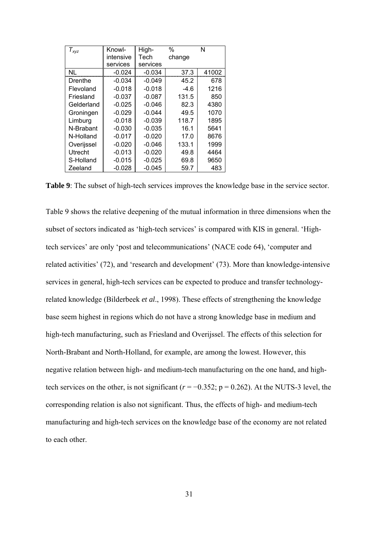| $T_{xyz}$      | Knowl-    | High-    | $\%$   | N     |
|----------------|-----------|----------|--------|-------|
|                | intensive | Tech     | change |       |
|                | services  | services |        |       |
| <b>NL</b>      | $-0.024$  | $-0.034$ | 37.3   | 41002 |
| Drenthe        | $-0.034$  | $-0.049$ | 45.2   | 678   |
| Flevoland      | $-0.018$  | $-0.018$ | -4.6   | 1216  |
| Friesland      | $-0.037$  | $-0.087$ | 131.5  | 850   |
| Gelderland     | $-0.025$  | $-0.046$ | 82.3   | 4380  |
| Groningen      | $-0.029$  | $-0.044$ | 49.5   | 1070  |
| Limburg        | $-0.018$  | $-0.039$ | 118.7  | 1895  |
| N-Brabant      | $-0.030$  | $-0.035$ | 16.1   | 5641  |
| N-Holland      | $-0.017$  | $-0.020$ | 17.0   | 8676  |
| Overijssel     | $-0.020$  | $-0.046$ | 133.1  | 1999  |
| <b>Utrecht</b> | $-0.013$  | $-0.020$ | 49.8   | 4464  |
| S-Holland      | $-0.015$  | $-0.025$ | 69.8   | 9650  |
| Zeeland        | $-0.028$  | $-0.045$ | 59.7   | 483   |

**Table 9**: The subset of high-tech services improves the knowledge base in the service sector.

Table 9 shows the relative deepening of the mutual information in three dimensions when the subset of sectors indicated as 'high-tech services' is compared with KIS in general. 'Hightech services' are only 'post and telecommunications' (NACE code 64), 'computer and related activities' (72), and 'research and development' (73). More than knowledge-intensive services in general, high-tech services can be expected to produce and transfer technologyrelated knowledge (Bilderbeek *et al*., 1998). These effects of strengthening the knowledge base seem highest in regions which do not have a strong knowledge base in medium and high-tech manufacturing, such as Friesland and Overijssel. The effects of this selection for North-Brabant and North-Holland, for example, are among the lowest. However, this negative relation between high- and medium-tech manufacturing on the one hand, and hightech services on the other, is not significant ( $r = -0.352$ ;  $p = 0.262$ ). At the NUTS-3 level, the corresponding relation is also not significant. Thus, the effects of high- and medium-tech manufacturing and high-tech services on the knowledge base of the economy are not related to each other.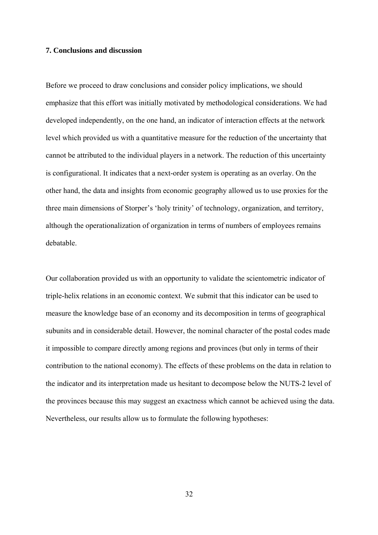#### **7. Conclusions and discussion**

Before we proceed to draw conclusions and consider policy implications, we should emphasize that this effort was initially motivated by methodological considerations. We had developed independently, on the one hand, an indicator of interaction effects at the network level which provided us with a quantitative measure for the reduction of the uncertainty that cannot be attributed to the individual players in a network. The reduction of this uncertainty is configurational. It indicates that a next-order system is operating as an overlay. On the other hand, the data and insights from economic geography allowed us to use proxies for the three main dimensions of Storper's 'holy trinity' of technology, organization, and territory, although the operationalization of organization in terms of numbers of employees remains debatable.

Our collaboration provided us with an opportunity to validate the scientometric indicator of triple-helix relations in an economic context. We submit that this indicator can be used to measure the knowledge base of an economy and its decomposition in terms of geographical subunits and in considerable detail. However, the nominal character of the postal codes made it impossible to compare directly among regions and provinces (but only in terms of their contribution to the national economy). The effects of these problems on the data in relation to the indicator and its interpretation made us hesitant to decompose below the NUTS-2 level of the provinces because this may suggest an exactness which cannot be achieved using the data. Nevertheless, our results allow us to formulate the following hypotheses:

32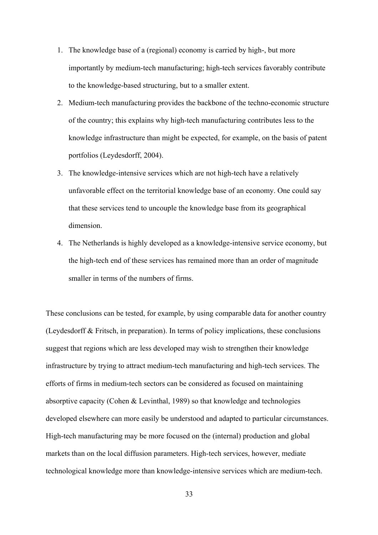- 1. The knowledge base of a (regional) economy is carried by high-, but more importantly by medium-tech manufacturing; high-tech services favorably contribute to the knowledge-based structuring, but to a smaller extent.
- 2. Medium-tech manufacturing provides the backbone of the techno-economic structure of the country; this explains why high-tech manufacturing contributes less to the knowledge infrastructure than might be expected, for example, on the basis of patent portfolios (Leydesdorff, 2004).
- 3. The knowledge-intensive services which are not high-tech have a relatively unfavorable effect on the territorial knowledge base of an economy. One could say that these services tend to uncouple the knowledge base from its geographical dimension.
- 4. The Netherlands is highly developed as a knowledge-intensive service economy, but the high-tech end of these services has remained more than an order of magnitude smaller in terms of the numbers of firms.

These conclusions can be tested, for example, by using comparable data for another country (Leydesdorff & Fritsch, in preparation). In terms of policy implications, these conclusions suggest that regions which are less developed may wish to strengthen their knowledge infrastructure by trying to attract medium-tech manufacturing and high-tech services. The efforts of firms in medium-tech sectors can be considered as focused on maintaining absorptive capacity (Cohen & Levinthal, 1989) so that knowledge and technologies developed elsewhere can more easily be understood and adapted to particular circumstances. High-tech manufacturing may be more focused on the (internal) production and global markets than on the local diffusion parameters. High-tech services, however, mediate technological knowledge more than knowledge-intensive services which are medium-tech.

33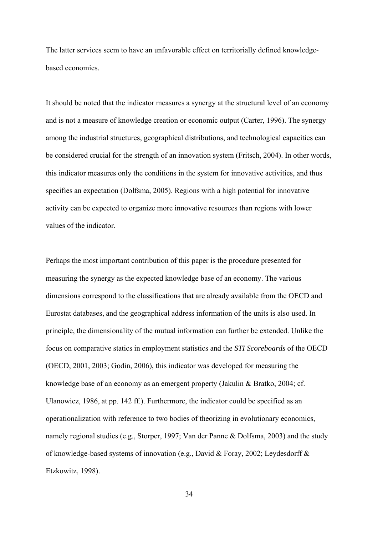The latter services seem to have an unfavorable effect on territorially defined knowledgebased economies.

It should be noted that the indicator measures a synergy at the structural level of an economy and is not a measure of knowledge creation or economic output (Carter, 1996). The synergy among the industrial structures, geographical distributions, and technological capacities can be considered crucial for the strength of an innovation system (Fritsch, 2004). In other words, this indicator measures only the conditions in the system for innovative activities, and thus specifies an expectation (Dolfsma, 2005). Regions with a high potential for innovative activity can be expected to organize more innovative resources than regions with lower values of the indicator.

Perhaps the most important contribution of this paper is the procedure presented for measuring the synergy as the expected knowledge base of an economy. The various dimensions correspond to the classifications that are already available from the OECD and Eurostat databases, and the geographical address information of the units is also used. In principle, the dimensionality of the mutual information can further be extended. Unlike the focus on comparative statics in employment statistics and the *STI Scoreboards* of the OECD (OECD, 2001, 2003; Godin, 2006), this indicator was developed for measuring the knowledge base of an economy as an emergent property (Jakulin & Bratko, 2004; cf. Ulanowicz, 1986, at pp. 142 ff.). Furthermore, the indicator could be specified as an operationalization with reference to two bodies of theorizing in evolutionary economics, namely regional studies (e.g., Storper, 1997; Van der Panne & Dolfsma, 2003) and the study of knowledge-based systems of innovation (e.g., David & Foray, 2002; Leydesdorff & Etzkowitz, 1998).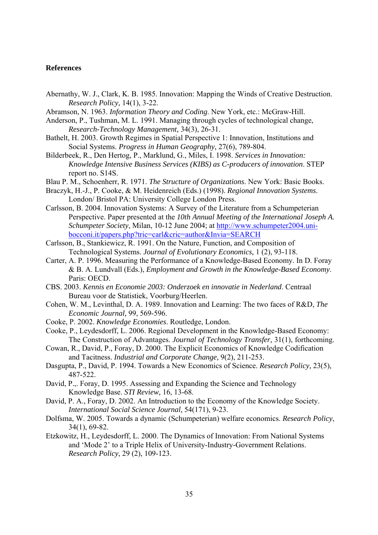#### **References**

- Abernathy, W. J., Clark, K. B. 1985. Innovation: Mapping the Winds of Creative Destruction. *Research Policy,* 14(1), 3-22.
- Abramson, N. 1963. *Information Theory and Coding*. New York, etc.: McGraw-Hill.
- Anderson, P., Tushman, M. L. 1991. Managing through cycles of technological change, *Research-Technology Management,* 34(3), 26-31.
- Bathelt, H. 2003. Growth Regimes in Spatial Perspective 1: Innovation, Institutions and Social Systems. *Progress in Human Geography,* 27(6), 789-804.
- Bilderbeek, R., Den Hertog, P., Marklund, G., Miles, I. 1998. *Services in Innovation: Knowledge Intensive Business Services (KIBS) as C-producers of innovation*. STEP report no. S14S.
- Blau P. M., Schoenherr, R. 1971. *The Structure of Organizations*. New York: Basic Books.
- Braczyk, H.-J., P. Cooke, & M. Heidenreich (Eds.) (1998). *Regional Innovation Systems*. London/ Bristol PA: University College London Press.
- Carlsson, B. 2004. Innovation Systems: A Survey of the Literature from a Schumpeterian Perspective. Paper presented at the *10th Annual Meeting of the International Joseph A. Schumpeter Society*, Milan, 10-12 June 2004; at [http://www.schumpeter2004.uni](http://www.schumpeter2004.uni-bocconi.it/papers.php?tric=carl&cric=author&Invia=SEARCH)[bocconi.it/papers.php?tric=carl&cric=author&Invia=SEARCH](http://www.schumpeter2004.uni-bocconi.it/papers.php?tric=carl&cric=author&Invia=SEARCH)
- Carlsson, B., Stankiewicz, R. 1991. On the Nature, Function, and Composition of Technological Systems. *Journal of Evolutionary Economics,* 1 (2), 93-118.
- Carter, A. P. 1996. Measuring the Performance of a Knowledge-Based Economy. In D. Foray & B. A. Lundvall (Eds.), *Employment and Growth in the Knowledge-Based Economy*. Paris: OECD.
- CBS. 2003. *Kennis en Economie 2003: Onderzoek en innovatie in Nederland*. Centraal Bureau voor de Statistiek, Voorburg/Heerlen.
- Cohen, W. M., Levinthal, D. A. 1989. Innovation and Learning: The two faces of R&D, *The Economic Journal,* 99, 569-596.
- Cooke, P. 2002. *Knowledge Economies*. Routledge, London.
- Cooke, P., Leydesdorff, L. 2006. Regional Development in the Knowledge-Based Economy: The Construction of Advantages. *Journal of Technology Transfer,* 31(1), forthcoming.
- Cowan, R., David, P., Foray, D. 2000. The Explicit Economics of Knowledge Codification and Tacitness. *Industrial and Corporate Change,* 9(2), 211-253.
- Dasgupta, P., David, P. 1994. Towards a New Economics of Science. *Research Policy,* 23(5), 487-522.
- David, P.,. Foray, D. 1995. Assessing and Expanding the Science and Technology Knowledge Base. *STI Review,* 16, 13-68.
- David, P. A., Foray, D. 2002. An Introduction to the Economy of the Knowledge Society. *International Social Science Journal,* 54(171), 9-23.
- Dolfsma, W. 2005. Towards a dynamic (Schumpeterian) welfare economics. *Research Policy*, 34(1), 69-82.
- Etzkowitz, H., Leydesdorff, L. 2000. The Dynamics of Innovation: From National Systems and 'Mode 2' to a Triple Helix of University-Industry-Government Relations. *Research Policy*, 29 (2), 109-123.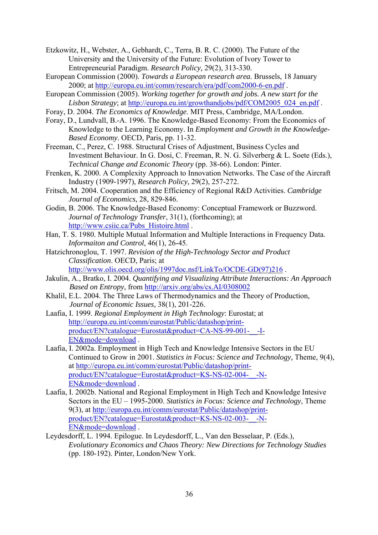Etzkowitz, H., Webster, A., Gebhardt, C., Terra, B. R. C. (2000). The Future of the University and the University of the Future: Evolution of Ivory Tower to Entrepreneurial Paradigm. *Research Policy,* 29(2), 313-330.

- European Commission (2000). *Towards a European research area.* Brussels, 18 January 2000; at<http://europa.eu.int/comm/research/era/pdf/com2000-6-en.pdf>.
- European Commission (2005). *Working together for growth and jobs. A new start for the Lisbon Strategy*; at [http://europa.eu.int/growthandjobs/pdf/COM2005\\_024\\_en.pdf](http://europa.eu.int/growthandjobs/pdf/COM2005_024_en.pdf) .
- Foray, D. 2004. *The Economics of Knowledge*. MIT Press, Cambridge, MA/London.
- Foray, D., Lundvall, B.-A. 1996. The Knowledge-Based Economy: From the Economics of Knowledge to the Learning Economy. In *Employment and Growth in the Knowledge-Based Economy*. OECD, Paris, pp. 11-32.
- Freeman, C., Perez, C. 1988. Structural Crises of Adjustment, Business Cycles and Investment Behaviour. In G. Dosi, C. Freeman, R. N. G. Silverberg & L. Soete (Eds.), *Technical Change and Economic Theory* (pp. 38-66). London: Pinter.
- Frenken, K. 2000. A Complexity Approach to Innovation Networks. The Case of the Aircraft Industry (1909-1997), *Research Policy,* 29(2), 257-272.
- Fritsch, M. 2004. Cooperation and the Efficiency of Regional R&D Activities. *Cambridge Journal of Economics,* 28, 829-846.
- Godin, B. 2006. The Knowledge-Based Economy: Conceptual Framework or Buzzword. *Journal of Technology Transfer*, 31(1), (forthcoming); at [http://www.csiic.ca/Pubs\\_Histoire.html](http://www.csiic.ca/Pubs_Histoire.html) .
- Han, T. S. 1980. Multiple Mutual Information and Multiple Interactions in Frequency Data. *Informaiton and Control,* 46(1), 26-45.
- Hatzichronoglou, T. 1997. *Revision of the High-Technology Sector and Product Classification*. OECD, Paris; at [http://www.olis.oecd.org/olis/1997doc.nsf/LinkTo/OCDE-GD\(97\)216](http://www.olis.oecd.org/olis/1997doc.nsf/LinkTo/OCDE-GD(97)216) .
- Jakulin, A., Bratko, I. 2004. *Quantifying and Visualizing Attribute Interactions: An Approach Based on Entropy*, from <http://arxiv.org/abs/cs.AI/0308002>
- Khalil, E.L. 2004. The Three Laws of Thermodynamics and the Theory of Production, *Journal of Economic Issues,* 38(1), 201-226.
- Laafia, I. 1999. *Regional Employment in High Technology*: Eurostat; at [http://europa.eu.int/comm/eurostat/Public/datashop/print](http://europa.eu.int/comm/eurostat/Public/datashop/print-product/EN?catalogue=Eurostat&product=CA-NS-99-001-__-I-EN&mode=download)[product/EN?catalogue=Eurostat&product=CA-NS-99-001-\\_\\_-I-](http://europa.eu.int/comm/eurostat/Public/datashop/print-product/EN?catalogue=Eurostat&product=CA-NS-99-001-__-I-EN&mode=download)[EN&mode=download](http://europa.eu.int/comm/eurostat/Public/datashop/print-product/EN?catalogue=Eurostat&product=CA-NS-99-001-__-I-EN&mode=download) .
- Laafia, I. 2002a. Employment in High Tech and Knowledge Intensive Sectors in the EU Continued to Grow in 2001. *Statistics in Focus: Science and Technology,* Theme, 9(4), at [http://europa.eu.int/comm/eurostat/Public/datashop/print](http://europa.eu.int/comm/eurostat/Public/datashop/print-product/EN?catalogue=Eurostat&product=KS-NS-02-004-__-N-EN&mode=download)[product/EN?catalogue=Eurostat&product=KS-NS-02-004-\\_\\_-N-](http://europa.eu.int/comm/eurostat/Public/datashop/print-product/EN?catalogue=Eurostat&product=KS-NS-02-004-__-N-EN&mode=download)[EN&mode=download](http://europa.eu.int/comm/eurostat/Public/datashop/print-product/EN?catalogue=Eurostat&product=KS-NS-02-004-__-N-EN&mode=download) .
- Laafia, I. 2002b. National and Regional Employment in High Tech and Knowledge Intesive Sectors in the EU – 1995-2000. *Statistics in Focus: Science and Technology*, Theme 9(3), at [http://europa.eu.int/comm/eurostat/Public/datashop/print](http://europa.eu.int/comm/eurostat/Public/datashop/print-product/EN?catalogue=Eurostat&product=KS-NS-02-003-__-N-EN&mode=download)[product/EN?catalogue=Eurostat&product=KS-NS-02-003-\\_\\_-N-](http://europa.eu.int/comm/eurostat/Public/datashop/print-product/EN?catalogue=Eurostat&product=KS-NS-02-003-__-N-EN&mode=download)[EN&mode=download](http://europa.eu.int/comm/eurostat/Public/datashop/print-product/EN?catalogue=Eurostat&product=KS-NS-02-003-__-N-EN&mode=download) .
- Leydesdorff, L. 1994. Epilogue. In Leydesdorff, L., Van den Besselaar, P. (Eds.), *Evolutionary Economics and Chaos Theory: New Directions for Technology Studies* (pp. 180-192). Pinter, London/New York.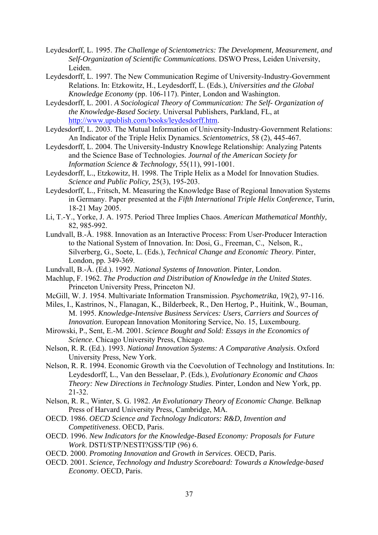- Leydesdorff, L. 1995. *The Challenge of Scientometrics: The Development, Measurement, and Self-Organization of Scientific Communications*. DSWO Press, Leiden University, Leiden.
- Leydesdorff, L. 1997. The New Communication Regime of University-Industry-Government Relations. In: Etzkowitz, H., Leydesdorff, L. (Eds.), *Universities and the Global Knowledge Economy* (pp. 106-117). Pinter, London and Washington.
- Leydesdorff, L. 2001. *A Sociological Theory of Communication: The Self- Organization of the Knowledge-Based Society*. Universal Publishers, Parkland, FL, at <http://www.upublish.com/books/leydesdorff.htm>.
- Leydesdorff, L. 2003. The Mutual Information of University-Industry-Government Relations: An Indicator of the Triple Helix Dynamics. *Scientometrics,* 58 (2), 445-467.
- Leydesdorff, L. 2004. The University-Industry Knowlege Relationship: Analyzing Patents and the Science Base of Technologies. *Journal of the American Society for Information Science & Technology,* 55(11), 991-1001.
- Leydesdorff, L., Etzkowitz, H. 1998. The Triple Helix as a Model for Innovation Studies. *Science and Public Policy,* 25(3), 195-203.
- Leydesdorff, L., Fritsch, M. Measuring the Knowledge Base of Regional Innovation Systems in Germany. Paper presented at the *Fifth International Triple Helix Conference*, Turin, 18-21 May 2005.
- Li, T.-Y., Yorke, J. A. 1975. Period Three Implies Chaos. *American Mathematical Monthly,* 82, 985-992.
- Lundvall, B.-Å. 1988. Innovation as an Interactive Process: From User-Producer Interaction to the National System of Innovation. In: Dosi, G., Freeman, C., Nelson, R., Silverberg, G., Soete, L. (Eds.), *Technical Change and Economic Theory*. Pinter, London, pp. 349-369.
- Lundvall, B.-Å. (Ed.). 1992. *National Systems of Innovation*. Pinter, London.
- Machlup, F. 1962. *The Production and Distribution of Knowledge in the United States*. Princeton University Press, Princeton NJ.
- McGill, W. J. 1954. Multivariate Information Transmission. *Psychometrika,* 19(2), 97-116.
- Miles, I., Kastrinos, N., Flanagan, K., Bilderbeek, R., Den Hertog, P., Huitink, W., Bouman, M. 1995. *Knowledge-Intensive Business Services: Users, Carriers and Sources of Innovation*. European Innovation Monitoring Service, No. 15, Luxembourg.
- Mirowski, P., Sent, E.-M. 2001. *Science Bought and Sold: Essays in the Economics of Science*. Chicago University Press, Chicago.
- Nelson, R. R. (Ed.). 1993. *National Innovation Systems: A Comparative Analysis*. Oxford University Press, New York.
- Nelson, R. R. 1994. Economic Growth via the Coevolution of Technology and Institutions. In: Leydesdorff, L., Van den Besselaar, P. (Eds.), *Evolutionary Economic and Chaos Theory: New Directions in Technology Studies*. Pinter, London and New York, pp. 21-32.
- Nelson, R. R., Winter, S. G. 1982. *An Evolutionary Theory of Economic Change*. Belknap Press of Harvard University Press, Cambridge, MA.
- OECD. 1986. *OECD Science and Technology Indicators: R&D, Invention and Competitiveness*. OECD, Paris.
- OECD. 1996. *New Indicators for the Knowledge-Based Economy: Proposals for Future Work*. DSTI/STP/NESTI?GSS/TIP (96) 6.
- OECD. 2000. *Promoting Innovation and Growth in Services*. OECD, Paris.
- OECD. 2001. *Science, Technology and Industry Scoreboard: Towards a Knowledge-based Economy*. OECD, Paris.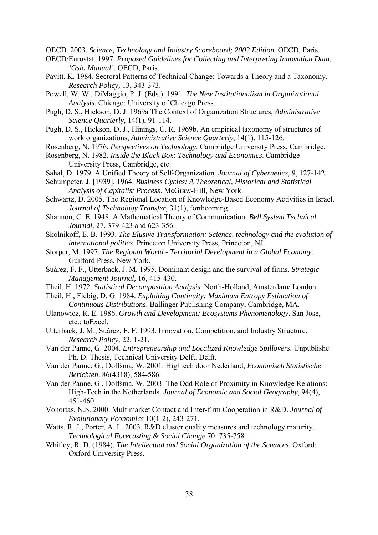OECD. 2003. *Science, Technology and Industry Scoreboard; 2003 Edition.* OECD, Paris.

- OECD/Eurostat. 1997. *Proposed Guidelines for Collecting and Interpreting Innovation Data, 'Oslo Manual'*. OECD, Paris.
- Pavitt, K. 1984. Sectoral Patterns of Technical Change: Towards a Theory and a Taxonomy. *Research Policy,* 13, 343-373.
- Powell, W. W., DiMaggio, P. J. (Eds.). 1991. *The New Institutionalism in Organizational Analysis*. Chicago: University of Chicago Press.
- Pugh, D. S., Hickson, D. J. 1969a The Context of Organization Structures, *Administrative Science Quarterly*, 14(1), 91-114.
- Pugh, D. S., Hickson, D. J., Hinings, C. R. 1969b. An empirical taxonomy of structures of work organizations, *Administrative Science Quarterly*, 14(1), 115-126.
- Rosenberg, N. 1976. *Perspectives on Technology*. Cambridge University Press, Cambridge.
- Rosenberg, N. 1982. *Inside the Black Box: Technology and Economics*. Cambridge University Press, Cambridge, etc.
- Sahal, D. 1979. A Unified Theory of Self-Organization. *Journal of Cybernetics,* 9, 127-142.
- Schumpeter, J. [1939], 1964. *Business Cycles: A Theoretical, Historical and Statistical Analysis of Capitalist Process*. McGraw-Hill, New York.
- Schwartz, D. 2005. The Regional Location of Knowledge-Based Economy Activities in Israel. *Journal of Technology Transfer,* 31(1), forthcoming.
- Shannon, C. E. 1948. A Mathematical Theory of Communication. *Bell System Technical Journal,* 27, 379-423 and 623-356.
- Skolnikoff, E. B. 1993. *The Elusive Transformation: Science, technology and the evolution of international politics*. Princeton University Press, Princeton, NJ.
- Storper, M. 1997. *The Regional World Territorial Development in a Global Economy*. Guilford Press, New York.
- Suárez, F. F., Utterback, J. M. 1995. Dominant design and the survival of firms. *Strategic Management Journal,* 16, 415-430.
- Theil, H. 1972. *Statistical Decomposition Analysis*. North-Holland, Amsterdam/ London.
- Theil, H., Fiebig, D. G. 1984. *Exploiting Continuity: Maximum Entropy Estimation of Continuous Distributions*. Ballinger Publishing Company, Cambridge, MA.
- Ulanowicz, R. E. 1986. *Growth and Development: Ecosystems Phenomenology*. San Jose, etc.: toExcel.
- Utterback, J. M., Suárez, F. F. 1993. Innovation, Competition, and Industry Structure. *Research Policy,* 22, 1-21.
- Van der Panne, G. 2004. *Entrepreneurship and Localized Knowledge Spillovers.* Unpublishe Ph. D. Thesis, Technical University Delft, Delft.
- Van der Panne, G., Dolfsma, W. 2001. Hightech door Nederland, *Economisch Statistische Berichten,* 86(4318), 584-586.
- Van der Panne, G., Dolfsma, W. 2003. The Odd Role of Proximity in Knowledge Relations: High-Tech in the Netherlands. *Journal of Economic and Social Geography*, 94(4), 451-460.
- Vonortas, N.S. 2000. Multimarket Contact and Inter-firm Cooperation in R&D. *Journal of Evolutionary Economics* 10(1-2), 243-271.
- Watts, R. J., Porter, A. L. 2003. R&D cluster quality measures and technology maturity. *Technological Forecasting & Social Change* 70: 735-758.
- Whitley, R. D. (1984). *The Intellectual and Social Organization of the Sciences*. Oxford: Oxford University Press.